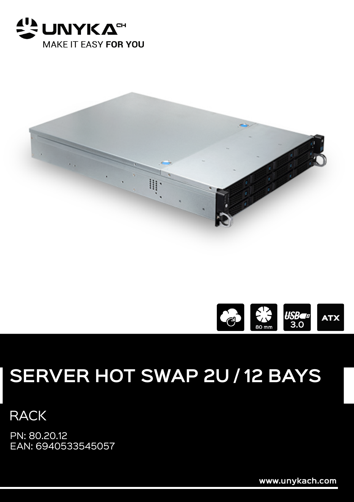





## **SERVER HOT SWAP 2U / 12 BAYS**

**RACK** 

PN: 80.20.12 EAN: 6940533545057

www.unykach.com